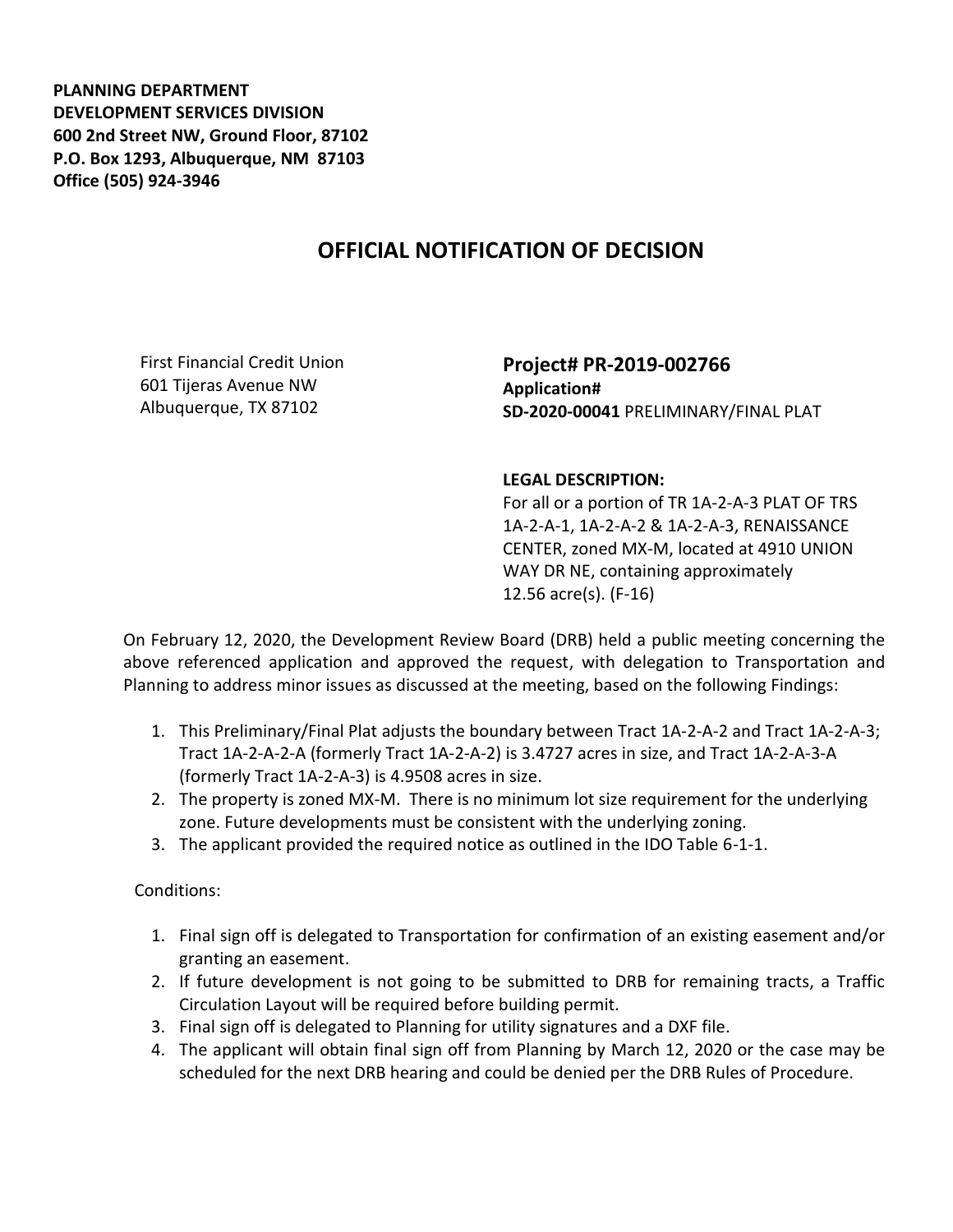**PLANNING DEPARTMENT DEVELOPMENT SERVICES DIVISION 600 2nd Street NW, Ground Floor, 87102 P.O. Box 1293, Albuquerque, NM 87103 Office (505) 924-3946** 

## **OFFICIAL NOTIFICATION OF DECISION**

First Financial Credit Union 601 Tijeras Avenue NW Albuquerque, TX 87102

**Project# PR-2019-002766 Application# SD-2020-00041** PRELIMINARY/FINAL PLAT

## **LEGAL DESCRIPTION:**

For all or a portion of TR 1A-2-A-3 PLAT OF TRS 1A-2-A-1, 1A-2-A-2 & 1A-2-A-3, RENAISSANCE CENTER, zoned MX-M, located at 4910 UNION WAY DR NE, containing approximately 12.56 acre(s). (F-16)

On February 12, 2020, the Development Review Board (DRB) held a public meeting concerning the above referenced application and approved the request, with delegation to Transportation and Planning to address minor issues as discussed at the meeting, based on the following Findings:

- 1. This Preliminary/Final Plat adjusts the boundary between Tract 1A-2-A-2 and Tract 1A-2-A-3; Tract 1A-2-A-2-A (formerly Tract 1A-2-A-2) is 3.4727 acres in size, and Tract 1A-2-A-3-A (formerly Tract 1A-2-A-3) is 4.9508 acres in size.
- 2. The property is zoned MX-M. There is no minimum lot size requirement for the underlying zone. Future developments must be consistent with the underlying zoning.
- 3. The applicant provided the required notice as outlined in the IDO Table 6-1-1.

Conditions:

- 1. Final sign off is delegated to Transportation for confirmation of an existing easement and/or granting an easement.
- 2. If future development is not going to be submitted to DRB for remaining tracts, a Traffic Circulation Layout will be required before building permit.
- 3. Final sign off is delegated to Planning for utility signatures and a DXF file.
- 4. The applicant will obtain final sign off from Planning by March 12, 2020 or the case may be scheduled for the next DRB hearing and could be denied per the DRB Rules of Procedure.